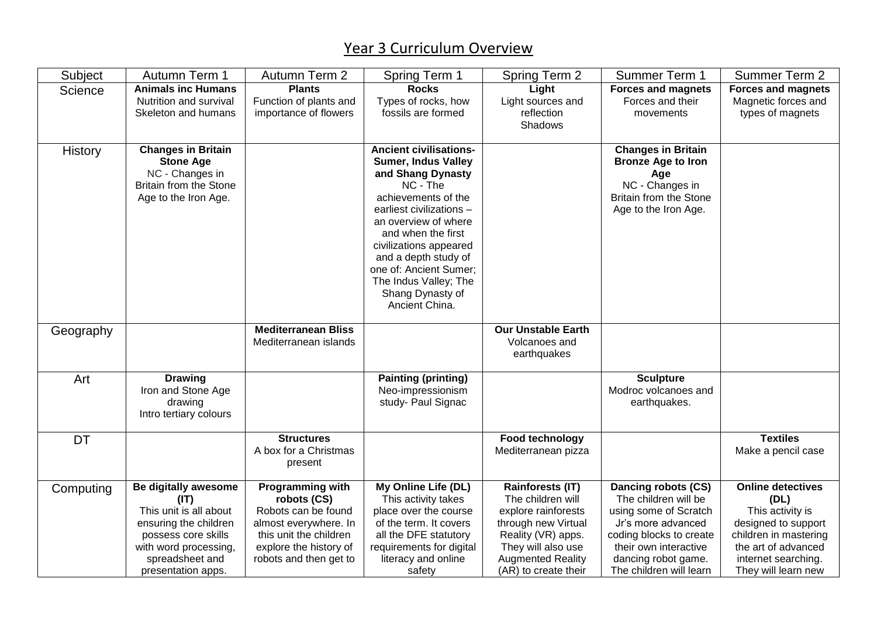## Year 3 Curriculum Overview

| Subject   | Autumn Term 1                                                                                                                                                            | Autumn Term 2                                                                                                                                                 | <b>Spring Term 1</b>                                                                                                                                                                                                                                                                                                                     | Spring Term 2                                                                                                                                                                              | Summer Term 1                                                                                                                                                                                    | <b>Summer Term 2</b>                                                                                                                                                      |
|-----------|--------------------------------------------------------------------------------------------------------------------------------------------------------------------------|---------------------------------------------------------------------------------------------------------------------------------------------------------------|------------------------------------------------------------------------------------------------------------------------------------------------------------------------------------------------------------------------------------------------------------------------------------------------------------------------------------------|--------------------------------------------------------------------------------------------------------------------------------------------------------------------------------------------|--------------------------------------------------------------------------------------------------------------------------------------------------------------------------------------------------|---------------------------------------------------------------------------------------------------------------------------------------------------------------------------|
| Science   | <b>Animals inc Humans</b><br>Nutrition and survival<br>Skeleton and humans                                                                                               | <b>Plants</b><br>Function of plants and<br>importance of flowers                                                                                              | <b>Rocks</b><br>Types of rocks, how<br>fossils are formed                                                                                                                                                                                                                                                                                | Light<br>Light sources and<br>reflection<br>Shadows                                                                                                                                        | <b>Forces and magnets</b><br>Forces and their<br>movements                                                                                                                                       | <b>Forces and magnets</b><br>Magnetic forces and<br>types of magnets                                                                                                      |
| History   | <b>Changes in Britain</b><br><b>Stone Age</b><br>NC - Changes in<br>Britain from the Stone<br>Age to the Iron Age.                                                       |                                                                                                                                                               | <b>Ancient civilisations-</b><br><b>Sumer, Indus Valley</b><br>and Shang Dynasty<br>NC - The<br>achievements of the<br>earliest civilizations -<br>an overview of where<br>and when the first<br>civilizations appeared<br>and a depth study of<br>one of: Ancient Sumer;<br>The Indus Valley; The<br>Shang Dynasty of<br>Ancient China. |                                                                                                                                                                                            | <b>Changes in Britain</b><br><b>Bronze Age to Iron</b><br>Age<br>NC - Changes in<br><b>Britain from the Stone</b><br>Age to the Iron Age.                                                        |                                                                                                                                                                           |
| Geography |                                                                                                                                                                          | <b>Mediterranean Bliss</b><br>Mediterranean islands                                                                                                           |                                                                                                                                                                                                                                                                                                                                          | <b>Our Unstable Earth</b><br>Volcanoes and<br>earthquakes                                                                                                                                  |                                                                                                                                                                                                  |                                                                                                                                                                           |
| Art       | <b>Drawing</b><br>Iron and Stone Age<br>drawing<br>Intro tertiary colours                                                                                                |                                                                                                                                                               | <b>Painting (printing)</b><br>Neo-impressionism<br>study- Paul Signac                                                                                                                                                                                                                                                                    |                                                                                                                                                                                            | <b>Sculpture</b><br>Modroc volcanoes and<br>earthquakes.                                                                                                                                         |                                                                                                                                                                           |
| <b>DT</b> |                                                                                                                                                                          | <b>Structures</b><br>A box for a Christmas<br>present                                                                                                         |                                                                                                                                                                                                                                                                                                                                          | Food technology<br>Mediterranean pizza                                                                                                                                                     |                                                                                                                                                                                                  | <b>Textiles</b><br>Make a pencil case                                                                                                                                     |
| Computing | Be digitally awesome<br>(IT)<br>This unit is all about<br>ensuring the children<br>possess core skills<br>with word processing,<br>spreadsheet and<br>presentation apps. | Programming with<br>robots (CS)<br>Robots can be found<br>almost everywhere. In<br>this unit the children<br>explore the history of<br>robots and then get to | My Online Life (DL)<br>This activity takes<br>place over the course<br>of the term. It covers<br>all the DFE statutory<br>requirements for digital<br>literacy and online<br>safety                                                                                                                                                      | <b>Rainforests (IT)</b><br>The children will<br>explore rainforests<br>through new Virtual<br>Reality (VR) apps.<br>They will also use<br><b>Augmented Reality</b><br>(AR) to create their | Dancing robots (CS)<br>The children will be<br>using some of Scratch<br>Jr's more advanced<br>coding blocks to create<br>their own interactive<br>dancing robot game.<br>The children will learn | <b>Online detectives</b><br>(DL)<br>This activity is<br>designed to support<br>children in mastering<br>the art of advanced<br>internet searching.<br>They will learn new |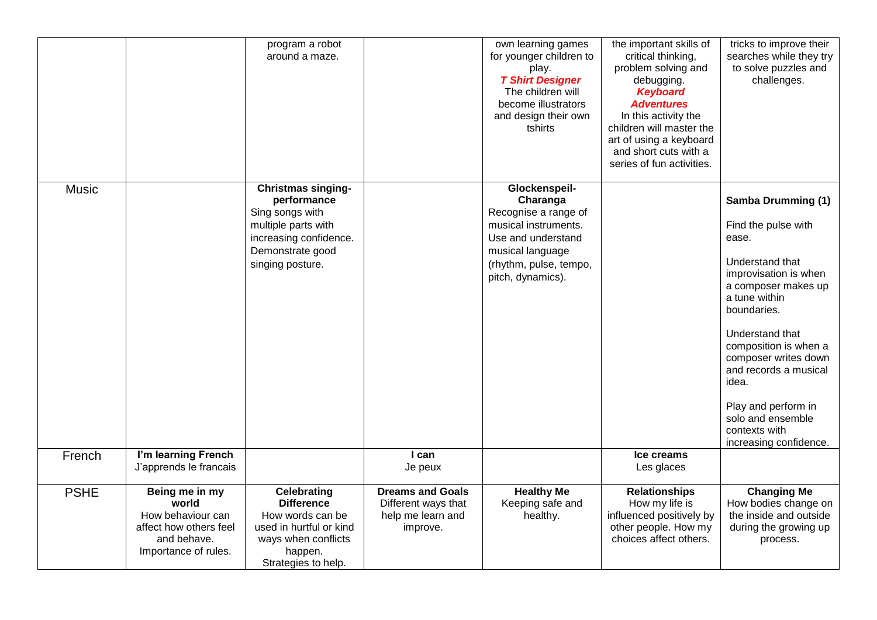|              |                                                                                                               | program a robot<br>around a maze.                                                                                                                    |                                                                                 | own learning games<br>for younger children to<br>play.<br><b>T Shirt Designer</b><br>The children will<br>become illustrators<br>and design their own<br>tshirts   | the important skills of<br>critical thinking,<br>problem solving and<br>debugging.<br><b>Keyboard</b><br><b>Adventures</b><br>In this activity the<br>children will master the<br>art of using a keyboard<br>and short cuts with a<br>series of fun activities. | tricks to improve their<br>searches while they try<br>to solve puzzles and<br>challenges.                                                                                                                                                                                                                                                                 |
|--------------|---------------------------------------------------------------------------------------------------------------|------------------------------------------------------------------------------------------------------------------------------------------------------|---------------------------------------------------------------------------------|--------------------------------------------------------------------------------------------------------------------------------------------------------------------|-----------------------------------------------------------------------------------------------------------------------------------------------------------------------------------------------------------------------------------------------------------------|-----------------------------------------------------------------------------------------------------------------------------------------------------------------------------------------------------------------------------------------------------------------------------------------------------------------------------------------------------------|
| <b>Music</b> |                                                                                                               | <b>Christmas singing-</b><br>performance<br>Sing songs with<br>multiple parts with<br>increasing confidence.<br>Demonstrate good<br>singing posture. |                                                                                 | Glockenspeil-<br>Charanga<br>Recognise a range of<br>musical instruments.<br>Use and understand<br>musical language<br>(rhythm, pulse, tempo,<br>pitch, dynamics). |                                                                                                                                                                                                                                                                 | <b>Samba Drumming (1)</b><br>Find the pulse with<br>ease.<br>Understand that<br>improvisation is when<br>a composer makes up<br>a tune within<br>boundaries.<br>Understand that<br>composition is when a<br>composer writes down<br>and records a musical<br>idea.<br>Play and perform in<br>solo and ensemble<br>contexts with<br>increasing confidence. |
| French       | I'm learning French<br>J'apprends le francais                                                                 |                                                                                                                                                      | I can<br>Je peux                                                                |                                                                                                                                                                    | Ice creams<br>Les glaces                                                                                                                                                                                                                                        |                                                                                                                                                                                                                                                                                                                                                           |
| <b>PSHE</b>  | Being me in my<br>world<br>How behaviour can<br>affect how others feel<br>and behave.<br>Importance of rules. | <b>Celebrating</b><br><b>Difference</b><br>How words can be<br>used in hurtful or kind<br>ways when conflicts<br>happen.<br>Strategies to help.      | <b>Dreams and Goals</b><br>Different ways that<br>help me learn and<br>improve. | <b>Healthy Me</b><br>Keeping safe and<br>healthy.                                                                                                                  | <b>Relationships</b><br>How my life is<br>influenced positively by<br>other people. How my<br>choices affect others.                                                                                                                                            | <b>Changing Me</b><br>How bodies change on<br>the inside and outside<br>during the growing up<br>process.                                                                                                                                                                                                                                                 |